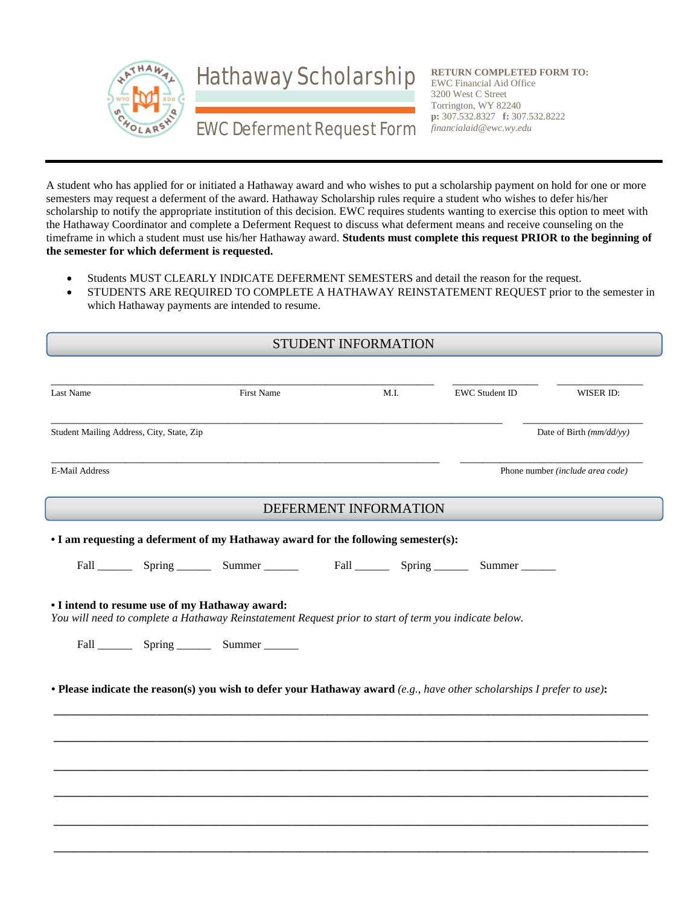

**RETURN COMPLETED FORM TO:** EWC Financial Aid Office 3200 West C Street Torrington, WY 82240 **p:** 307.532.8327 **f:** 307.532.8222 *financialaid@ewc.wy.edu*

A student who has applied for or initiated a Hathaway award and who wishes to put a scholarship payment on hold for one or more semesters may request a deferment of the award. Hathaway Scholarship rules require a student who wishes to defer his/her scholarship to notify the appropriate institution of this decision. EWC requires students wanting to exercise this option to meet with the Hathaway Coordinator and complete a Deferment Request to discuss what deferment means and receive counseling on the timeframe in which a student must use his/her Hathaway award. **Students must complete this request PRIOR to the beginning of the semester for which deferment is requested.** 

- Students MUST CLEARLY INDICATE DEFERMENT SEMESTERS and detail the reason for the request.
- STUDENTS ARE REQUIRED TO COMPLETE A HATHAWAY REINSTATEMENT REQUEST prior to the semester in which Hathaway payments are intended to resume.

| STUDENT INFORMATION                            |  |                                                                                                                        |                       |      |                       |                                  |  |
|------------------------------------------------|--|------------------------------------------------------------------------------------------------------------------------|-----------------------|------|-----------------------|----------------------------------|--|
| Last Name                                      |  | First Name                                                                                                             |                       | M.I. | <b>EWC Student ID</b> | WISER ID:                        |  |
| Student Mailing Address, City, State, Zip      |  |                                                                                                                        |                       |      |                       | Date of Birth (mm/dd/yy)         |  |
| E-Mail Address                                 |  |                                                                                                                        |                       |      |                       | Phone number (include area code) |  |
|                                                |  |                                                                                                                        | DEFERMENT INFORMATION |      |                       |                                  |  |
|                                                |  | • I am requesting a deferment of my Hathaway award for the following semester(s):                                      |                       |      |                       |                                  |  |
|                                                |  | Fall Spring Summer Fall Spring                                                                                         |                       |      | Summer                |                                  |  |
| • I intend to resume use of my Hathaway award: |  | You will need to complete a Hathaway Reinstatement Request prior to start of term you indicate below.                  |                       |      |                       |                                  |  |
|                                                |  | • Please indicate the reason(s) you wish to defer your Hathaway award (e.g., have other scholarships I prefer to use): |                       |      |                       |                                  |  |
|                                                |  |                                                                                                                        |                       |      |                       |                                  |  |
|                                                |  |                                                                                                                        |                       |      |                       |                                  |  |
|                                                |  |                                                                                                                        |                       |      |                       |                                  |  |
|                                                |  |                                                                                                                        |                       |      |                       |                                  |  |